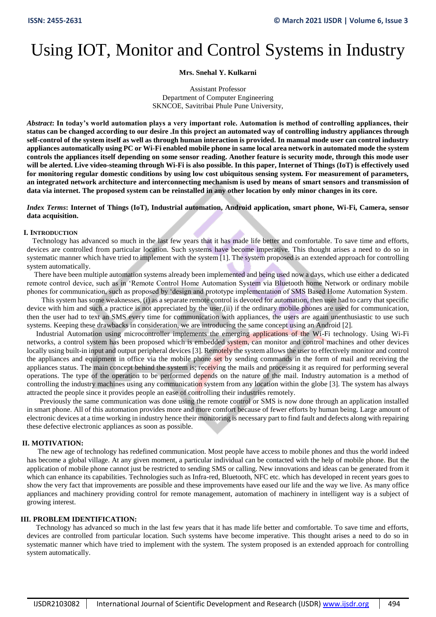# Using IOT, Monitor and Control Systems in Industry

# **Mrs. Snehal Y. Kulkarni**

Assistant Professor Department of Computer Engineering SKNCOE, Savitribai Phule Pune University,

*Abstract***: In today's world automation plays a very important role. Automation is method of controlling appliances, their status can be changed according to our desire .In this project an automated way of controlling industry appliances through self-control of the system itself as well as through human interaction is provided. In manual mode user can control industry appliances automatically using PC or Wi-Fi enabled mobile phone in same local area network in automated mode the system controls the appliances itself depending on some sensor reading. Another feature is security mode, through this mode user will be alerted. Live video-steaming through Wi-Fi is also possible. In this paper, Internet of Things (IoT) is effectively used for monitoring regular domestic conditions by using low cost ubiquitous sensing system. For measurement of parameters, an integrated network architecture and interconnecting mechanism is used by means of smart sensors and transmission of data via internet. The proposed system can be reinstalled in any other location by only minor changes in its core.** 

## *Index Terms***: Internet of Things (IoT), Industrial automation, Android application, smart phone, Wi-Fi, Camera, sensor data acquisition.**

## **I. INTRODUCTION**

 Technology has advanced so much in the last few years that it has made life better and comfortable. To save time and efforts, devices are controlled from particular location. Such systems have become imperative. This thought arises a need to do so in systematic manner which have tried to implement with the system [1]. The system proposed is an extended approach for controlling system automatically.

 There have been multiple automation systems already been implemented and being used now a days, which use either a dedicated remote control device, such as in 'Remote Control Home Automation System via Bluetooth home Network or ordinary mobile phones for communication, such as proposed by 'design and prototype implementation of SMS Based Home Automation System.

 This system has some weaknesses, (i) as a separate remote control is devoted for automation, then user had to carry that specific device with him and such a practice is not appreciated by the user,(ii) if the ordinary mobile phones are used for communication, then the user had to text an SMS every time for communication with appliances, the users are again unenthusiastic to use such systems. Keeping these drawbacks in consideration, we are introducing the same concept using an Android [2].

 Industrial Automation using microcontroller implements the emerging applications of the Wi-Fi technology. Using Wi-Fi networks, a control system has been proposed which is embedded system, can monitor and control machines and other devices locally using built-in input and output peripheral devices [3]. Remotely the system allows the user to effectively monitor and control the appliances and equipment in office via the mobile phone set by sending commands in the form of mail and receiving the appliances status. The main concept behind the system is; receiving the mails and processing it as required for performing several operations. The type of the operation to be performed depends on the nature of the mail. Industry automation is a method of controlling the industry machines using any communication system from any location within the globe [3]. The system has always attracted the people since it provides people an ease of controlling their industries remotely.

 Previously the same communication was done using the remote control or SMS is now done through an application installed in smart phone. All of this automation provides more and more comfort because of fewer efforts by human being. Large amount of electronic devices at a time working in industry hence their monitoring is necessary part to find fault and defects along with repairing these defective electronic appliances as soon as possible.

# **II. MOTIVATION:**

 The new age of technology has redefined communication. Most people have access to mobile phones and thus the world indeed has become a global village. At any given moment, a particular individual can be contacted with the help of mobile phone. But the application of mobile phone cannot just be restricted to sending SMS or calling. New innovations and ideas can be generated from it which can enhance its capabilities. Technologies such as Infra-red, Bluetooth, NFC etc. which has developed in recent years goes to show the very fact that improvements are possible and these improvements have eased our life and the way we live. As many office appliances and machinery providing control for remote management, automation of machinery in intelligent way is a subject of growing interest.

# **III. PROBLEM IDENTIFICATION:**

 Technology has advanced so much in the last few years that it has made life better and comfortable. To save time and efforts, devices are controlled from particular location. Such systems have become imperative. This thought arises a need to do so in systematic manner which have tried to implement with the system. The system proposed is an extended approach for controlling system automatically.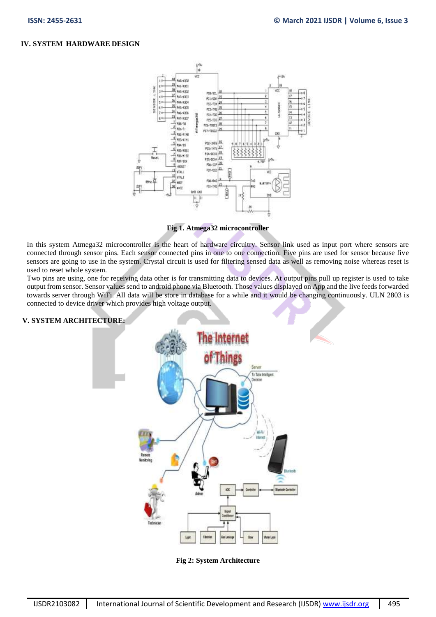# **IV. SYSTEM HARDWARE DESIGN**



**Fig 1. Atmega32 microcontroller**

In this system Atmega32 microcontroller is the heart of hardware circuitry. Sensor link used as input port where sensors are connected through sensor pins. Each sensor connected pins in one to one connection. Five pins are used for sensor because five sensors are going to use in the system. Crystal circuit is used for filtering sensed data as well as removing noise whereas reset is used to reset whole system.

Two pins are using, one for receiving data other is for transmitting data to devices. At output pins pull up register is used to take output from sensor. Sensor values send to android phone via Bluetooth. Those values displayed on App and the live feeds forwarded towards server through WiFi. All data will be store in database for a while and it would be changing continuously. ULN 2803 is connected to device driver which provides high voltage output.

# **V. SYSTEM ARCHITECTURE:**



**Fig 2: System Architecture**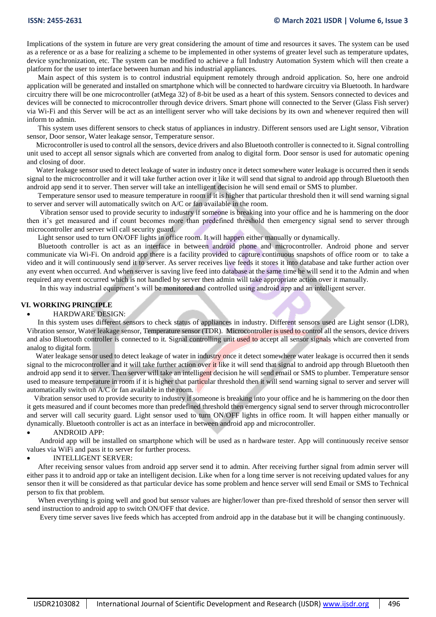Implications of the system in future are very great considering the amount of time and resources it saves. The system can be used as a reference or as a base for realizing a scheme to be implemented in other systems of greater level such as temperature updates, device synchronization, etc. The system can be modified to achieve a full Industry Automation System which will then create a platform for the user to interface between human and his industrial appliances.

 Main aspect of this system is to control industrial equipment remotely through android application. So, here one android application will be generated and installed on smartphone which will be connected to hardware circuitry via Bluetooth. In hardware circuitry there will be one microcontroller (atMega 32) of 8-bit be used as a heart of this system. Sensors connected to devices and devices will be connected to microcontroller through device drivers. Smart phone will connected to the Server (Glass Fish server) via Wi-Fi and this Server will be act as an intelligent server who will take decisions by its own and whenever required then will inform to admin.

 This system uses different sensors to check status of appliances in industry. Different sensors used are Light sensor, Vibration sensor, Door sensor, Water leakage sensor, Temperature sensor.

 Microcontroller is used to control all the sensors, device drivers and also Bluetooth controller is connected to it. Signal controlling unit used to accept all sensor signals which are converted from analog to digital form. Door sensor is used for automatic opening and closing of door.

 Water leakage sensor used to detect leakage of water in industry once it detect somewhere water leakage is occurred then it sends signal to the microcontroller and it will take further action over it like it will send that signal to android app through Bluetooth then android app send it to server. Then server will take an intelligent decision he will send email or SMS to plumber.

 Temperature sensor used to measure temperature in room if it is higher that particular threshold then it will send warning signal to server and server will automatically switch on A/C or fan available in the room.

 Vibration sensor used to provide security to industry if someone is breaking into your office and he is hammering on the door then it's get measured and if count becomes more than predefined threshold then emergency signal send to server through microcontroller and server will call security guard.

Light sensor used to turn ON/OFF lights in office room. It will happen either manually or dynamically.

 Bluetooth controller is act as an interface in between android phone and microcontroller. Android phone and server communicate via Wi-Fi. On android app there is a facility provided to capture continuous snapshots of office room or to take a video and it will continuously send it to server. As server receives live feeds it stores it into database and take further action over any event when occurred. And when server is saving live feed into database at the same time he will send it to the Admin and when required any event occurred which is not handled by server then admin will take appropriate action over it manually.

In this way industrial equipment's will be monitored and controlled using android app and an intelligent server.

#### **VI. WORKING PRINCIPLE**

#### HARDWARE DESIGN:

 In this system uses different sensors to check status of appliances in industry. Different sensors used are Light sensor (LDR), Vibration sensor, Water leakage sensor, Temperature sensor (TDR). Microcontroller is used to control all the sensors, device drivers and also Bluetooth controller is connected to it. Signal controlling unit used to accept all sensor signals which are converted from analog to digital form.

Water leakage sensor used to detect leakage of water in industry once it detect somewhere water leakage is occurred then it sends signal to the microcontroller and it will take further action over it like it will send that signal to android app through Bluetooth then android app send it to server. Then server will take an intelligent decision he will send email or SMS to plumber. Temperature sensor used to measure temperature in room if it is higher that particular threshold then it will send warning signal to server and server will automatically switch on A/C or fan available in the room.

 Vibration sensor used to provide security to industry if someone is breaking into your office and he is hammering on the door then it gets measured and if count becomes more than predefined threshold then emergency signal send to server through microcontroller and server will call security guard. Light sensor used to turn ON/OFF lights in office room. It will happen either manually or dynamically. Bluetooth controller is act as an interface in between android app and microcontroller.

#### ANDROID APP:

 Android app will be installed on smartphone which will be used as n hardware tester. App will continuously receive sensor values via WiFi and pass it to server for further process.

#### INTELLIGENT SERVER:

 After receiving sensor values from android app server send it to admin. After receiving further signal from admin server will either pass it to android app or take an intelligent decision. Like when for a long time server is not receiving updated values for any sensor then it will be considered as that particular device has some problem and hence server will send Email or SMS to Technical person to fix that problem.

 When everything is going well and good but sensor values are higher/lower than pre-fixed threshold of sensor then server will send instruction to android app to switch ON/OFF that device.

Every time server saves live feeds which has accepted from android app in the database but it will be changing continuously.